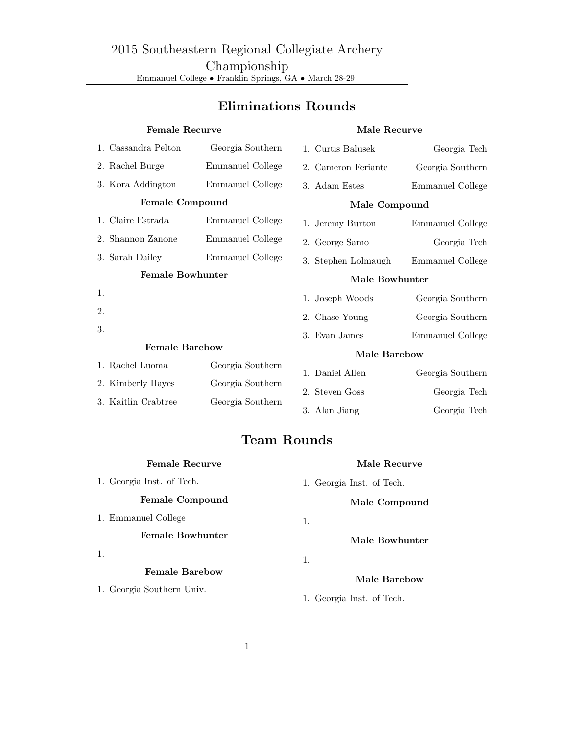## Eliminations Rounds

| <b>Female Recurve</b>   |                     |                  | Male Recurve        |                  |  |  |  |
|-------------------------|---------------------|------------------|---------------------|------------------|--|--|--|
|                         | 1. Cassandra Pelton | Georgia Southern | 1. Curtis Balusek   | Georgia Tech     |  |  |  |
|                         | 2. Rachel Burge     | Emmanuel College | 2. Cameron Feriante | Georgia Southern |  |  |  |
|                         | 3. Kora Addington   | Emmanuel College | 3. Adam Estes       | Emmanuel College |  |  |  |
| <b>Female Compound</b>  |                     |                  | Male Compound       |                  |  |  |  |
|                         | 1. Claire Estrada   | Emmanuel College | 1. Jeremy Burton    | Emmanuel College |  |  |  |
|                         | 2. Shannon Zanone   | Emmanuel College | 2. George Samo      | Georgia Tech     |  |  |  |
|                         | 3. Sarah Dailey     | Emmanuel College | 3. Stephen Lolmaugh | Emmanuel College |  |  |  |
| <b>Female Bowhunter</b> |                     |                  | Male Bowhunter      |                  |  |  |  |
| 1.                      |                     |                  | 1. Joseph Woods     | Georgia Southern |  |  |  |
| 2.                      |                     |                  | 2. Chase Young      | Georgia Southern |  |  |  |
| 3.                      |                     |                  | 3. Evan James       | Emmanuel College |  |  |  |
| <b>Female Barebow</b>   |                     |                  | Male Barebow        |                  |  |  |  |
|                         | 1. Rachel Luoma     | Georgia Southern | 1. Daniel Allen     | Georgia Southern |  |  |  |
|                         | 2. Kimberly Hayes   | Georgia Southern | 2. Steven Goss      | Georgia Tech     |  |  |  |
|                         | 3. Kaitlin Crabtree | Georgia Southern | 3. Alan Jiang       | Georgia Tech     |  |  |  |

## Team Rounds

| <b>Female Recurve</b>     | Male Recurve              |
|---------------------------|---------------------------|
| 1. Georgia Inst. of Tech. | 1. Georgia Inst. of Tech. |
| <b>Female Compound</b>    | Male Compound             |
| 1. Emmanuel College       | 1.                        |
| <b>Female Bowhunter</b>   | Male Bowhunter            |
| 1.                        | 1.                        |
| <b>Female Barebow</b>     | Male Barebow              |
| 1. Georgia Southern Univ. | 1. Georgia Inst. of Tech. |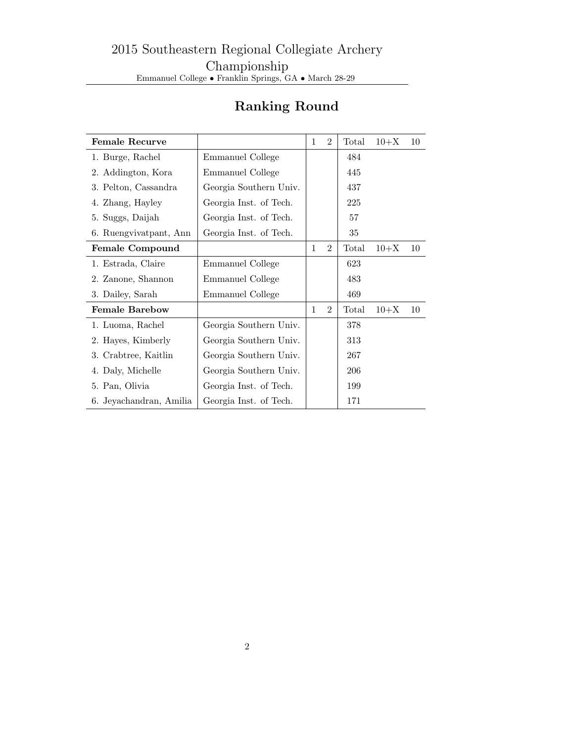| <b>Female Recurve</b>   |                        | 1 | $\overline{2}$ | Total | $10 + X$ | 10 |
|-------------------------|------------------------|---|----------------|-------|----------|----|
| 1. Burge, Rachel        | Emmanuel College       |   |                | 484   |          |    |
| 2. Addington, Kora      | Emmanuel College       |   |                | 445   |          |    |
| 3. Pelton, Cassandra    | Georgia Southern Univ. |   |                | 437   |          |    |
| 4. Zhang, Hayley        | Georgia Inst. of Tech. |   |                | 225   |          |    |
| 5. Suggs, Daijah        | Georgia Inst. of Tech. |   |                | 57    |          |    |
| 6. Ruengvivatpant, Ann  | Georgia Inst. of Tech. |   |                | 35    |          |    |
| <b>Female Compound</b>  |                        | 1 | $\overline{2}$ | Total | $10 + X$ | 10 |
| 1. Estrada, Claire      | Emmanuel College       |   |                | 623   |          |    |
| 2. Zanone, Shannon      | Emmanuel College       |   |                | 483   |          |    |
| 3. Dailey, Sarah        | Emmanuel College       |   |                | 469   |          |    |
| <b>Female Barebow</b>   |                        | 1 | $\overline{2}$ | Total | $10 + X$ | 10 |
| 1. Luoma, Rachel        | Georgia Southern Univ. |   |                | 378   |          |    |
| 2. Hayes, Kimberly      | Georgia Southern Univ. |   |                | 313   |          |    |
| 3. Crabtree, Kaitlin    | Georgia Southern Univ. |   |                | 267   |          |    |
| 4. Daly, Michelle       | Georgia Southern Univ. |   |                | 206   |          |    |
| 5. Pan, Olivia          | Georgia Inst. of Tech. |   |                | 199   |          |    |
| 6. Jeyachandran, Amilia | Georgia Inst. of Tech. |   |                | 171   |          |    |

## Ranking Round